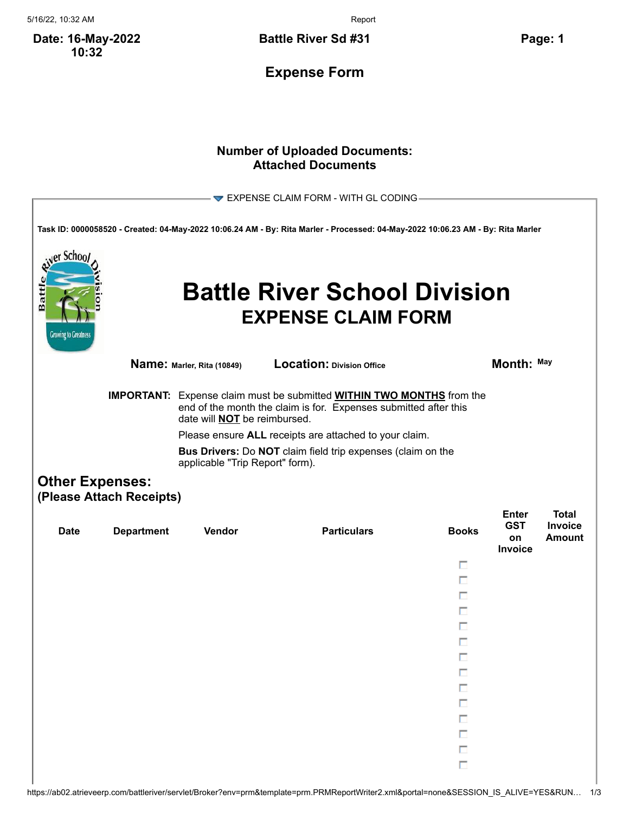5/16/22, 10:32 AM Report

**Date: 16-May-2022 10:32**

**Battle River Sd #31 Page: 1**

**Expense Form**

## **Number of Uploaded Documents: Attached Documents**

|                                                                                                                                                                                                |                                                                                                |                            | EXPENSE CLAIM FORM - WITH GL CODING-                                                                                            |              |                                             |                                                 |  |
|------------------------------------------------------------------------------------------------------------------------------------------------------------------------------------------------|------------------------------------------------------------------------------------------------|----------------------------|---------------------------------------------------------------------------------------------------------------------------------|--------------|---------------------------------------------|-------------------------------------------------|--|
|                                                                                                                                                                                                |                                                                                                |                            | Task ID: 0000058520 - Created: 04-May-2022 10:06.24 AM - By: Rita Marler - Processed: 04-May-2022 10:06.23 AM - By: Rita Marler |              |                                             |                                                 |  |
| <sub>i</sub> er Schoo<br>Batt<br><b>Growing to Greatness</b>                                                                                                                                   |                                                                                                |                            | <b>Battle River School Division</b><br><b>EXPENSE CLAIM FORM</b>                                                                |              |                                             |                                                 |  |
|                                                                                                                                                                                                |                                                                                                | Name: Marler, Rita (10849) | Location: Division Office                                                                                                       |              | Month: May                                  |                                                 |  |
| <b>IMPORTANT:</b> Expense claim must be submitted <b>WITHIN TWO MONTHS</b> from the<br>end of the month the claim is for. Expenses submitted after this<br>date will <b>NOT</b> be reimbursed. |                                                                                                |                            |                                                                                                                                 |              |                                             |                                                 |  |
|                                                                                                                                                                                                |                                                                                                |                            | Please ensure ALL receipts are attached to your claim.                                                                          |              |                                             |                                                 |  |
|                                                                                                                                                                                                | Bus Drivers: Do NOT claim field trip expenses (claim on the<br>applicable "Trip Report" form). |                            |                                                                                                                                 |              |                                             |                                                 |  |
|                                                                                                                                                                                                | <b>Other Expenses:</b><br>(Please Attach Receipts)                                             |                            |                                                                                                                                 |              |                                             |                                                 |  |
| <b>Date</b>                                                                                                                                                                                    | <b>Department</b>                                                                              | Vendor                     | <b>Particulars</b>                                                                                                              | <b>Books</b> | <b>Enter</b><br><b>GST</b><br>on<br>Invoice | <b>Total</b><br><b>Invoice</b><br><b>Amount</b> |  |
|                                                                                                                                                                                                |                                                                                                |                            |                                                                                                                                 | п            |                                             |                                                 |  |
|                                                                                                                                                                                                |                                                                                                |                            |                                                                                                                                 | п            |                                             |                                                 |  |
|                                                                                                                                                                                                |                                                                                                |                            |                                                                                                                                 | п            |                                             |                                                 |  |
|                                                                                                                                                                                                |                                                                                                |                            |                                                                                                                                 | п            |                                             |                                                 |  |
|                                                                                                                                                                                                |                                                                                                |                            |                                                                                                                                 |              |                                             |                                                 |  |
|                                                                                                                                                                                                |                                                                                                |                            |                                                                                                                                 |              |                                             |                                                 |  |
|                                                                                                                                                                                                |                                                                                                |                            |                                                                                                                                 | п            |                                             |                                                 |  |
|                                                                                                                                                                                                |                                                                                                |                            |                                                                                                                                 | П            |                                             |                                                 |  |
|                                                                                                                                                                                                |                                                                                                |                            |                                                                                                                                 | П            |                                             |                                                 |  |
|                                                                                                                                                                                                |                                                                                                |                            |                                                                                                                                 | $\Box$       |                                             |                                                 |  |
|                                                                                                                                                                                                |                                                                                                |                            |                                                                                                                                 | П            |                                             |                                                 |  |
|                                                                                                                                                                                                |                                                                                                |                            |                                                                                                                                 | $\Box$       |                                             |                                                 |  |
|                                                                                                                                                                                                |                                                                                                |                            |                                                                                                                                 | П            |                                             |                                                 |  |
|                                                                                                                                                                                                |                                                                                                |                            |                                                                                                                                 | П            |                                             |                                                 |  |
|                                                                                                                                                                                                |                                                                                                |                            |                                                                                                                                 |              |                                             |                                                 |  |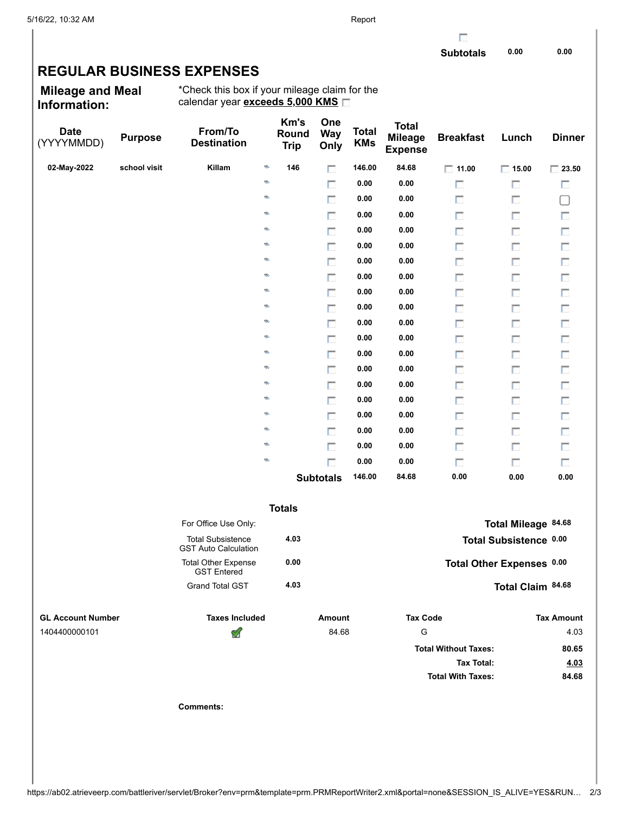г

## **REGULAR BUSINESS EXPENSES**

**Mileage and Meal Information:**

\*Check this box if your mileage claim for the calendar year **exceeds 5,000 KMS**

| <b>Date</b><br>(YYYYMMDD) | <b>Purpose</b> | From/To<br><b>Destination</b>                           | Km's<br>Round<br><b>Trip</b> | One<br><b>Way</b><br>Only | <b>Total</b><br><b>KMs</b> | <b>Total</b><br><b>Mileage</b><br><b>Expense</b> | <b>Breakfast</b>            | Lunch                     | <b>Dinner</b>     |
|---------------------------|----------------|---------------------------------------------------------|------------------------------|---------------------------|----------------------------|--------------------------------------------------|-----------------------------|---------------------------|-------------------|
| 02-May-2022               | school visit   | Killam<br>ø                                             | 146                          | п                         | 146.00                     | 84.68                                            | $\Box$ 11.00                | $\Box$ 15.00              | $\Box$ 23.50      |
|                           |                | ø                                                       |                              | п                         | 0.00                       | 0.00                                             | П                           | П                         | П                 |
|                           |                | ø                                                       |                              | П                         | 0.00                       | 0.00                                             | П                           | П                         | $\Box$            |
|                           |                | ø                                                       |                              | п                         | 0.00                       | 0.00                                             | П                           | П                         | П                 |
|                           |                | ø                                                       |                              | $\Box$                    | 0.00                       | 0.00                                             | П                           | П                         | П                 |
|                           |                | ø                                                       |                              | п                         | 0.00                       | 0.00                                             | П                           | П                         | П                 |
|                           |                | ø                                                       |                              | $\Box$                    | 0.00                       | 0.00                                             | П                           | П                         | П                 |
|                           |                | ø                                                       |                              | п                         | 0.00                       | 0.00                                             | П                           | П                         | П                 |
|                           |                | ø                                                       |                              | П                         | 0.00                       | 0.00                                             | П                           | П                         | П                 |
|                           |                | ø                                                       |                              | п                         | 0.00                       | 0.00                                             | П                           | П                         | П                 |
|                           |                | ø                                                       |                              | $\Box$                    | 0.00                       | 0.00                                             | П                           | П                         | П                 |
|                           |                | ø                                                       |                              | п                         | 0.00                       | 0.00                                             | П                           | П                         | П                 |
|                           |                | ø                                                       |                              | П                         | 0.00                       | 0.00                                             | П                           | П                         | П                 |
|                           |                | ø                                                       |                              | п                         | 0.00                       | 0.00                                             | П                           | П                         | П                 |
|                           |                | ø                                                       |                              | $\Box$                    | 0.00                       | 0.00                                             | П                           | П                         | П                 |
|                           |                | ø                                                       |                              | п                         | 0.00                       | 0.00                                             | П                           | П                         | П                 |
|                           |                | ø                                                       |                              | П                         | 0.00                       | 0.00                                             | П                           | П                         | П                 |
|                           |                | ø                                                       |                              | п                         | 0.00                       | 0.00                                             | П                           | П                         | П                 |
|                           |                | ø                                                       |                              | $\Box$                    | 0.00                       | 0.00                                             | П                           | П                         | П                 |
|                           |                | ø                                                       |                              | п                         | 0.00                       | 0.00                                             | П                           | П                         | П                 |
|                           |                |                                                         |                              | <b>Subtotals</b>          | 146.00                     | 84.68                                            | 0.00                        | 0.00                      | 0.00              |
|                           |                |                                                         | <b>Totals</b>                |                           |                            |                                                  |                             |                           |                   |
|                           |                | For Office Use Only:                                    |                              |                           |                            |                                                  |                             | Total Mileage 84.68       |                   |
|                           |                | <b>Total Subsistence</b><br><b>GST Auto Calculation</b> | 4.03                         |                           |                            |                                                  |                             | Total Subsistence 0.00    |                   |
|                           |                | <b>Total Other Expense</b><br><b>GST Entered</b>        | 0.00                         |                           |                            |                                                  |                             | Total Other Expenses 0.00 |                   |
|                           |                | <b>Grand Total GST</b>                                  | 4.03                         |                           |                            |                                                  |                             | Total Claim 84.68         |                   |
| <b>GL Account Number</b>  |                | <b>Taxes Included</b>                                   |                              | Amount                    |                            | <b>Tax Code</b>                                  |                             |                           | <b>Tax Amount</b> |
| 1404400000101             |                | H                                                       |                              | 84.68                     |                            | G                                                |                             |                           | 4.03              |
|                           |                |                                                         |                              |                           |                            |                                                  | <b>Total Without Taxes:</b> |                           | 80.65             |
|                           |                |                                                         |                              |                           |                            |                                                  | <b>Tax Total:</b>           |                           | 4.03              |
|                           |                |                                                         |                              |                           |                            |                                                  | <b>Total With Taxes:</b>    |                           | 84.68             |
|                           |                | <b>Comments:</b>                                        |                              |                           |                            |                                                  |                             |                           |                   |